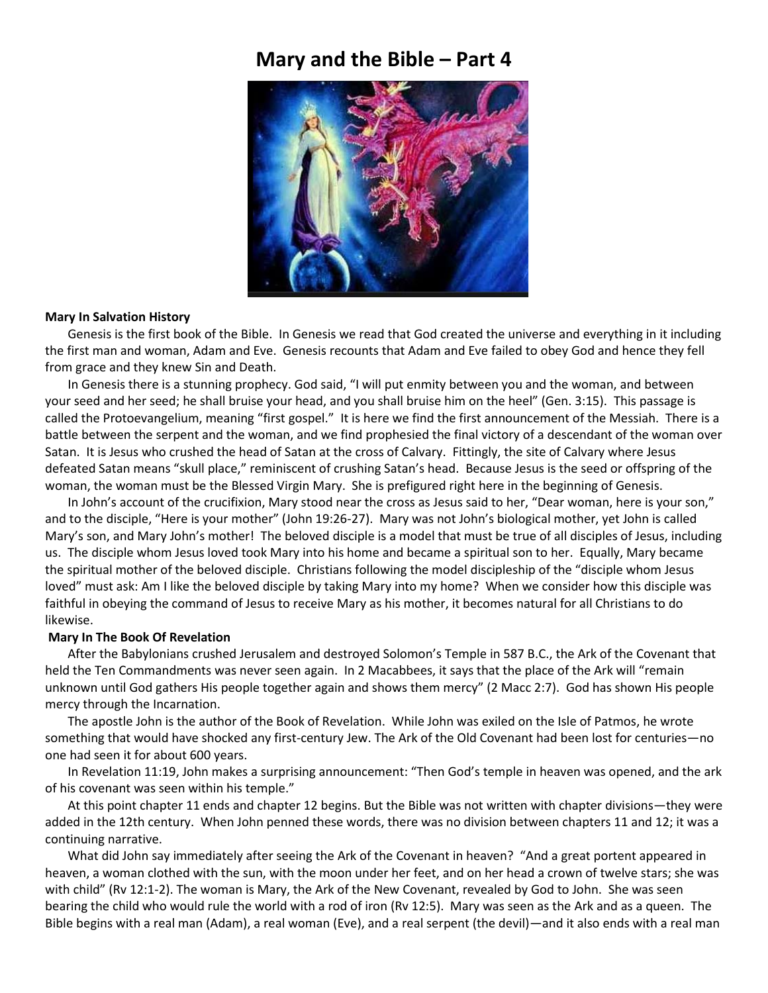## **Mary and the Bible – Part 4**



## **Mary In Salvation History**

Genesis is the first book of the Bible. In Genesis we read that God created the universe and everything in it including the first man and woman, Adam and Eve. Genesis recounts that Adam and Eve failed to obey God and hence they fell from grace and they knew Sin and Death.

In Genesis there is a stunning prophecy. God said, "I will put enmity between you and the woman, and between your seed and her seed; he shall bruise your head, and you shall bruise him on the heel" (Gen. 3:15). This passage is called the Protoevangelium, meaning "first gospel." It is here we find the first announcement of the Messiah. There is a battle between the serpent and the woman, and we find prophesied the final victory of a descendant of the woman over Satan. It is Jesus who crushed the head of Satan at the cross of Calvary. Fittingly, the site of Calvary where Jesus defeated Satan means "skull place," reminiscent of crushing Satan's head. Because Jesus is the seed or offspring of the woman, the woman must be the Blessed Virgin Mary. She is prefigured right here in the beginning of Genesis.

In John's account of the crucifixion, Mary stood near the cross as Jesus said to her, "Dear woman, here is your son," and to the disciple, "Here is your mother" (John 19:26-27). Mary was not John's biological mother, yet John is called Mary's son, and Mary John's mother! The beloved disciple is a model that must be true of all disciples of Jesus, including us. The disciple whom Jesus loved took Mary into his home and became a spiritual son to her. Equally, Mary became the spiritual mother of the beloved disciple. Christians following the model discipleship of the "disciple whom Jesus loved" must ask: Am I like the beloved disciple by taking Mary into my home? When we consider how this disciple was faithful in obeying the command of Jesus to receive Mary as his mother, it becomes natural for all Christians to do likewise.

## **Mary In The Book Of Revelation**

After the Babylonians crushed Jerusalem and destroyed Solomon's Temple in 587 B.C., the Ark of the Covenant that held the Ten Commandments was never seen again. In 2 Macabbees, it says that the place of the Ark will "remain unknown until God gathers His people together again and shows them mercy" (2 Macc 2:7). God has shown His people mercy through the Incarnation.

The apostle John is the author of the Book of Revelation. While John was exiled on the Isle of Patmos, he wrote something that would have shocked any first-century Jew. The Ark of the Old Covenant had been lost for centuries—no one had seen it for about 600 years.

In Revelation 11:19, John makes a surprising announcement: "Then God's temple in heaven was opened, and the ark of his covenant was seen within his temple."

At this point chapter 11 ends and chapter 12 begins. But the Bible was not written with chapter divisions—they were added in the 12th century. When John penned these words, there was no division between chapters 11 and 12; it was a continuing narrative.

What did John say immediately after seeing the Ark of the Covenant in heaven? "And a great portent appeared in heaven, a woman clothed with the sun, with the moon under her feet, and on her head a crown of twelve stars; she was with child" (Rv 12:1-2). The woman is Mary, the Ark of the New Covenant, revealed by God to John. She was seen bearing the child who would rule the world with a rod of iron (Rv 12:5). Mary was seen as the Ark and as a queen. The Bible begins with a real man (Adam), a real woman (Eve), and a real serpent (the devil)—and it also ends with a real man